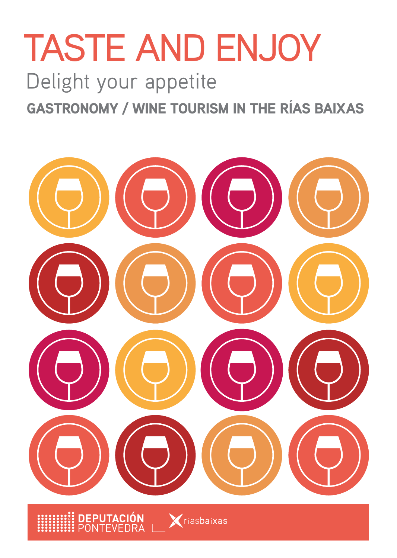# TASTE AND ENJOY

Delight your appetite GASTRONOMY / WINE TOURISM IN THE RÍAS BAIXAS

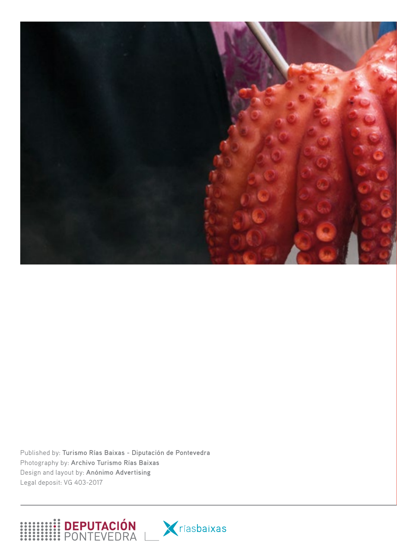

Published by: **Turismo Rías Baixas - Diputación de Pontevedra** Photography by: **Archivo Turismo Rías Baixas** Design and layout by: **Anónimo Advertising** Legal deposit: VG 403-2017



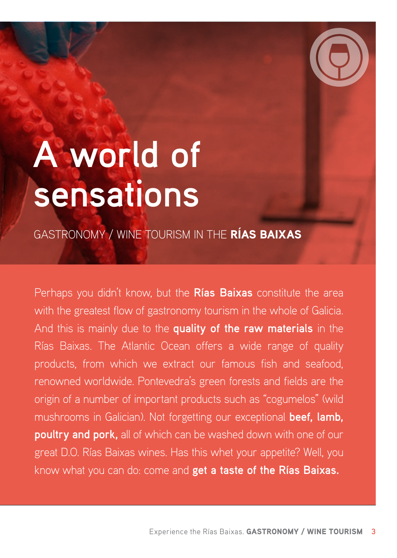# **A world of sensations**

GASTRONOMY / WINE TOURISM IN THE RÍAS BAIXAS

Perhaps you didn't know, but the **Rías Baixas** constitute the area with the greatest flow of gastronomy tourism in the whole of Galicia. And this is mainly due to the **quality of the raw materials** in the Rías Baixas. The Atlantic Ocean offers a wide range of quality products, from which we extract our famous fish and seafood, renowned worldwide. Pontevedra's green forests and fields are the origin of a number of important products such as "cogumelos" (wild mushrooms in Galician). Not forgetting our exceptional **beef, lamb, poultry and pork,** all of which can be washed down with one of our great D.O. Rías Baixas wines. Has this whet your appetite? Well, you know what you can do: come and **get a taste of the Rías Baixas.**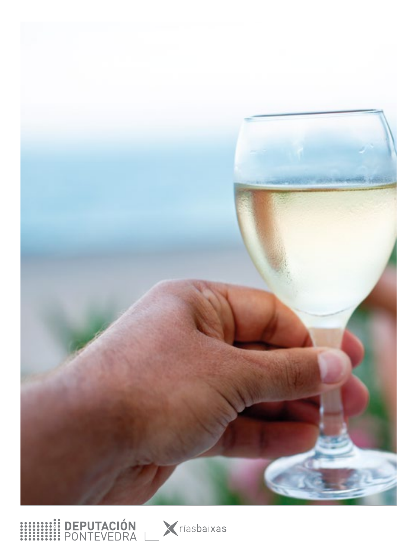



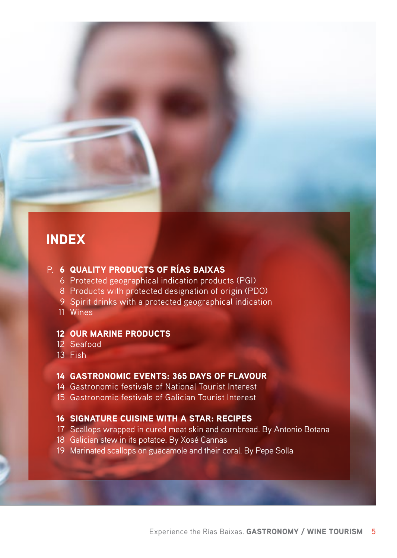#### INDEX

#### P. 6 QUALITY PRODUCTS OF RÍAS BAIXAS

- Protected geographical indication products (PGI)
- Products with protected designation of origin (PDO)
- Spirit drinks with a protected geographical indication
- Wines

#### OUR MARINE PRODUCTS

- Seafood
- Fish

#### GASTRONOMIC EVENTS: 365 DAYS OF FLAVOUR

- Gastronomic festivals of National Tourist Interest
- Gastronomic festivals of Galician Tourist Interest

#### SIGNATURE CUISINE WITH A STAR: RECIPES

- Scallops wrapped in cured meat skin and cornbread. By Antonio Botana
- Galician stew in its potatoe. By Xosé Cannas
- Marinated scallops on guacamole and their coral. By Pepe Solla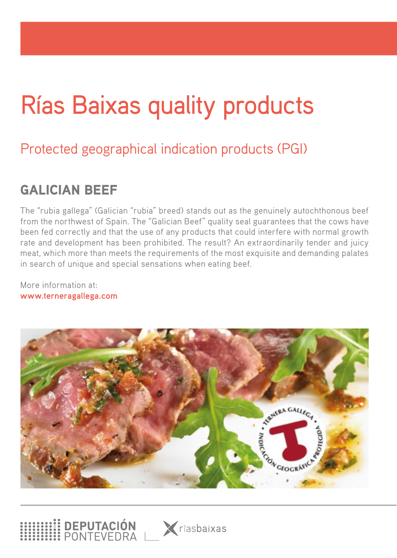# Rías Baixas quality products

## Protected geographical indication products (PGI)

#### GALICIAN BEEF

The "rubia gallega" (Galician "rubia" breed) stands out as the genuinely autochthonous beef from the northwest of Spain. The "Galician Beef" quality seal guarantees that the cows have been fed correctly and that the use of any products that could interfere with normal growth rate and development has been prohibited. The result? An extraordinarily tender and juicy meat, which more than meets the requirements of the most exquisite and demanding palates in search of unique and special sensations when eating beef.

More information at: **www.terneragallega.com**



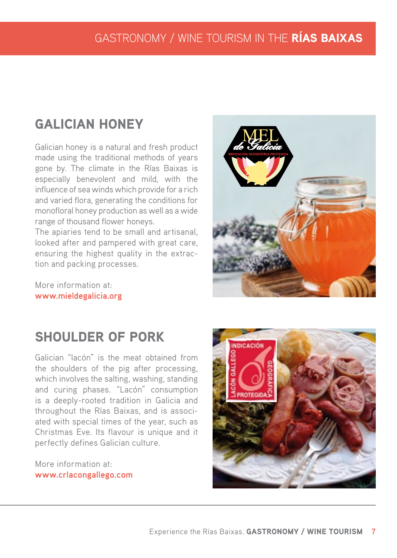#### GASTRONOMY / WINE TOURISM IN THE RÍAS BAIXAS

#### GALICIAN HONEY

Galician honey is a natural and fresh product made using the traditional methods of years gone by. The climate in the Rías Baixas is especially benevolent and mild, with the influence of sea winds which provide for a rich and varied flora, generating the conditions for monofloral honey production as well as a wide range of thousand flower honeys.

The apiaries tend to be small and artisanal, looked after and pampered with great care, ensuring the highest quality in the extraction and packing processes.

More information at: **www.mieldegalicia.org**



#### SHOULDER OF PORK

Galician "lacón" is the meat obtained from the shoulders of the pig after processing, which involves the salting, washing, standing and curing phases. "Lacón" consumption is a deeply-rooted tradition in Galicia and throughout the Rías Baixas, and is associated with special times of the year, such as Christmas Eve. Its flavour is unique and it perfectly defines Galician culture.

More information at: **www.crlacongallego.com**

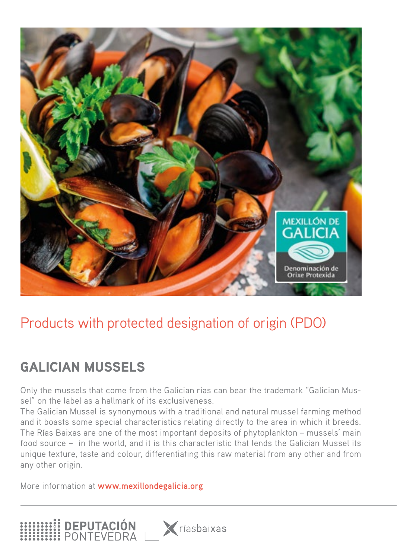

## Products with protected designation of origin (PDO)

## GALICIAN MUSSELS

Only the mussels that come from the Galician rías can bear the trademark "Galician Mussel" on the label as a hallmark of its exclusiveness.

The Galician Mussel is synonymous with a traditional and natural mussel farming method and it boasts some special characteristics relating directly to the area in which it breeds. The Rías Baixas are one of the most important deposits of phytoplankton – mussels' main food source – in the world, and it is this characteristic that lends the Galician Mussel its unique texture, taste and colour, differentiating this raw material from any other and from any other origin.

**X** ríasbaixas

More information at **www.mexillondegalicia.org**

**HI DEPUTACIÓN**<br>HI PONTEVEDRA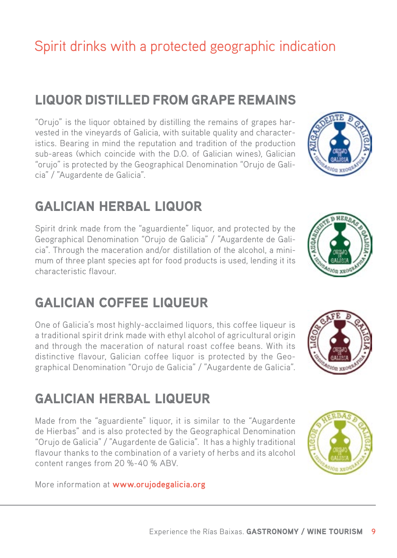## Spirit drinks with a protected geographic indication

#### LIQUOR DISTILLED FROM GRAPE REMAINS

"Orujo" is the liquor obtained by distilling the remains of grapes harvested in the vineyards of Galicia, with suitable quality and characteristics. Bearing in mind the reputation and tradition of the production sub-areas (which coincide with the D.O. of Galician wines), Galician "orujo" is protected by the Geographical Denomination "Orujo de Galicia" / "Augardente de Galicia".

#### GALICIAN HERBAL LIQUOR

Spirit drink made from the "aguardiente" liquor, and protected by the Geographical Denomination "Orujo de Galicia" / "Augardente de Galicia". Through the maceration and/or distillation of the alcohol, a minimum of three plant species apt for food products is used, lending it its characteristic flavour.

#### GALICIAN COFFEE LIQUEUR

One of Galicia's most highly-acclaimed liquors, this coffee liqueur is a traditional spirit drink made with ethyl alcohol of agricultural origin and through the maceration of natural roast coffee beans. With its distinctive flavour, Galician coffee liquor is protected by the Geographical Denomination "Orujo de Galicia" / "Augardente de Galicia".

#### GALICIAN HERBAL LIQUEUR

Made from the "aguardiente" liquor, it is similar to the "Augardente de Hierbas" and is also protected by the Geographical Denomination "Orujo de Galicia" / "Augardente de Galicia". It has a highly traditional flavour thanks to the combination of a variety of herbs and its alcohol content ranges from 20 %-40 % ABV.

More information at **www.orujodegalicia.org**









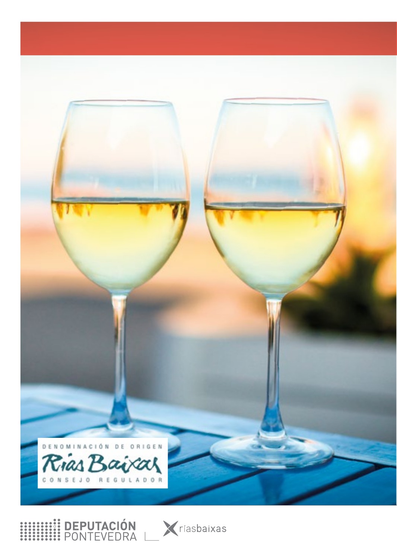

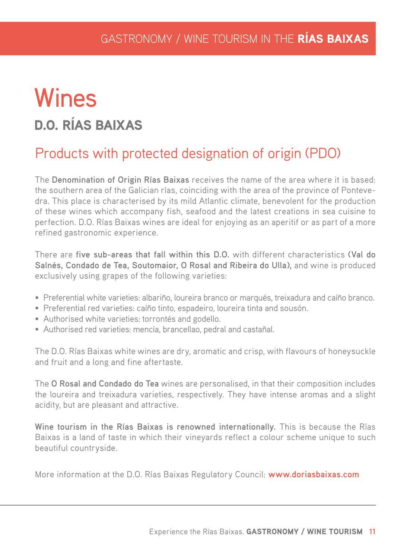# **Wines** D.O. RÍAS BAIXAS

### Products with protected designation of origin (PDO)

The **Denomination of Origin Rías Baixas** receives the name of the area where it is based: the southern area of the Galician rías, coinciding with the area of the province of Pontevedra. This place is characterised by its mild Atlantic climate, benevolent for the production of these wines which accompany fish, seafood and the latest creations in sea cuisine to perfection. D.O. Rías Baixas wines are ideal for enjoying as an aperitif or as part of a more refined gastronomic experience.

There are **five sub-areas that fall within this D.O.** with different characteristics **(Val do Salnés, Condado de Tea, Soutomaior, O Rosal and Ribeira do Ulla),** and wine is produced exclusively using grapes of the following varieties:

- Preferential white varieties: albariño, loureira branco or marqués, treixadura and caíño branco.
- Preferential red varieties: caíño tinto, espadeiro, loureira tinta and sousón.
- Authorised white varieties: torrontés and godello.
- Authorised red varieties: mencía, brancellao, pedral and castañal.

The D.O. Rías Baixas white wines are dry, aromatic and crisp, with flavours of honeysuckle and fruit and a long and fine aftertaste.

The **O Rosal and Condado do Tea** wines are personalised, in that their composition includes the loureira and treixadura varieties, respectively. They have intense aromas and a slight acidity, but are pleasant and attractive.

**Wine tourism in the Rías Baixas is renowned internationally.** This is because the Rías Baixas is a land of taste in which their vineyards reflect a colour scheme unique to such beautiful countryside.

More information at the D.O. Rías Baixas Regulatory Council: **www.doriasbaixas.com**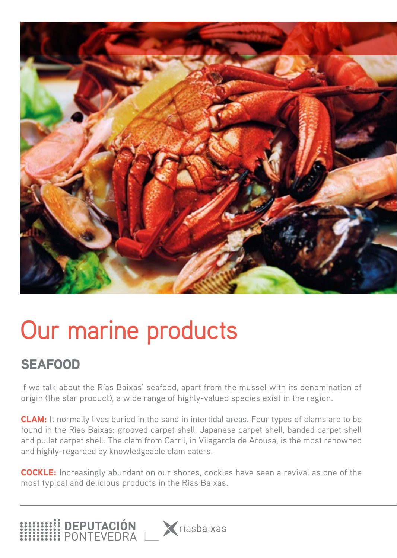

# Our marine products

## SEAFOOD

**EN DEPUTACIÓN<br>EN PONTEVEDRA** 

If we talk about the Rías Baixas' seafood, apart from the mussel with its denomination of origin (the star product), a wide range of highly-valued species exist in the region.

CLAM: It normally lives buried in the sand in intertidal areas. Four types of clams are to be found in the Rías Baixas: grooved carpet shell, Japanese carpet shell, banded carpet shell and pullet carpet shell. The clam from Carril, in Vilagarcía de Arousa, is the most renowned and highly-regarded by knowledgeable clam eaters.

COCKLE: Increasingly abundant on our shores, cockles have seen a revival as one of the most typical and delicious products in the Rías Baixas.

**X** ríasbaixas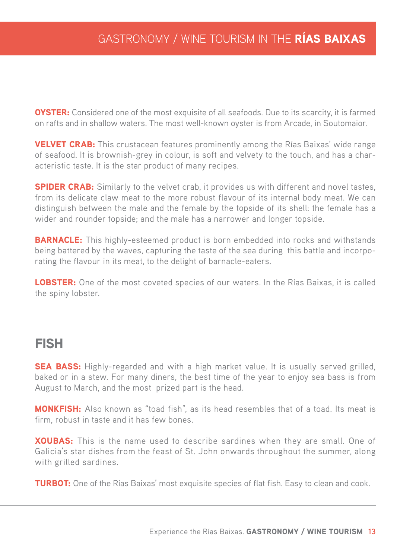**OYSTER:** Considered one of the most exquisite of all seafoods. Due to its scarcity, it is farmed on rafts and in shallow waters. The most well-known oyster is from Arcade, in Soutomaior.

**VELVET CRAB:** This crustacean features prominently among the Rías Baixas' wide range of seafood. It is brownish-grey in colour, is soft and velvety to the touch, and has a characteristic taste. It is the star product of many recipes.

**SPIDER CRAB:** Similarly to the velvet crab, it provides us with different and novel tastes, from its delicate claw meat to the more robust flavour of its internal body meat. We can distinguish between the male and the female by the topside of its shell: the female has a wider and rounder topside; and the male has a narrower and longer topside.

**BARNACLE:** This highly-esteemed product is born embedded into rocks and withstands being battered by the waves, capturing the taste of the sea during this battle and incorporating the flavour in its meat, to the delight of barnacle-eaters.

**LOBSTER:** One of the most coveted species of our waters. In the Rías Baixas, it is called the spiny lobster.

#### FISH

**SEA BASS:** Highly-regarded and with a high market value. It is usually served grilled, baked or in a stew. For many diners, the best time of the year to enjoy sea bass is from August to March, and the most prized part is the head.

MONKFISH: Also known as "toad fish", as its head resembles that of a toad. Its meat is firm, robust in taste and it has few bones.

**XOUBAS:** This is the name used to describe sardines when they are small. One of Galicia's star dishes from the feast of St. John onwards throughout the summer, along with grilled sardines.

**TURBOT:** One of the Rías Baixas' most exquisite species of flat fish. Easy to clean and cook.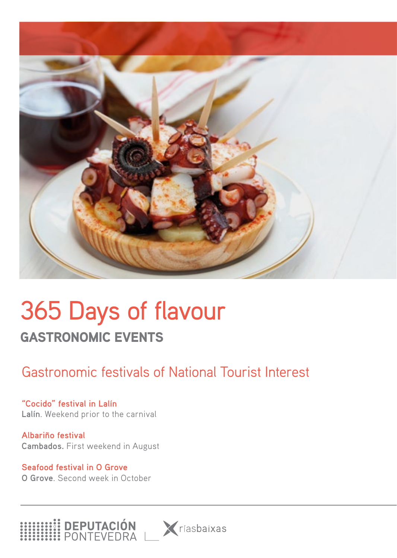

# 365 Days of flavour GASTRONOMIC EVENTS

## Gastronomic festivals of National Tourist Interest

**"Cocido" festival in Lalín Lalín**. Weekend prior to the carnival

**Albariño festival Cambados.** First weekend in August

**Seafood festival in O Grove O Grove**. Second week in October

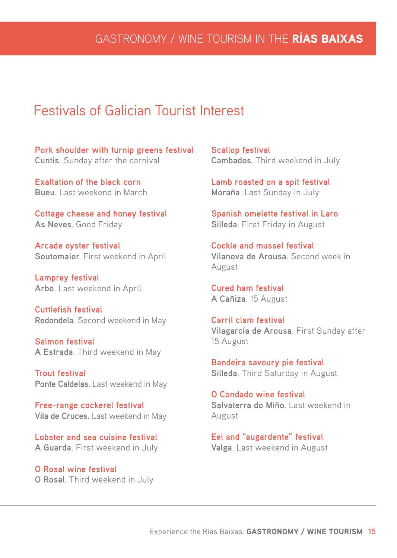#### Festivals of Galician Tourist Interest

**Pork shoulder with turnip greens festival Cuntis**. Sunday after the carnival

**Exaltation of the black corn Bueu**. Last weekend in March

**Cottage cheese and honey festival As Neves**. Good Friday

**Arcade oyster festival Soutomaior**. First weekend in April

**Lamprey festival Arbo**. Last weekend in April

**Cuttlefish festival Redondela**. Second weekend in May

**Salmon festival A Estrada**. Third weekend in May

**Trout festival Ponte Caldelas**. Last weekend in May

**Free-range cockerel festival Vila de Cruces.** Last weekend in May

**Lobster and sea cuisine festival A Guarda**. First weekend in July

**O Rosal wine festival O Rosal**. Third weekend in July **Scallop festival Cambados**. Third weekend in July

**Lamb roasted on a spit festival Moraña**. Last Sunday in July

**Spanish omelette festival in Laro Silleda**. First Friday in August

**Cockle and mussel festival Vilanova de Arousa**. Second week in August

**Cured ham festival A Cañiza**. 15 August

**Carril clam festival Vilagarcía de Arousa**. First Sunday after 15 August

**Bandeira savoury pie festival Silleda**. Third Saturday in August

**O Condado wine festival Salvaterra do Miño**. Last weekend in August

**Eel and "augardente" festival Valga**. Last weekend in August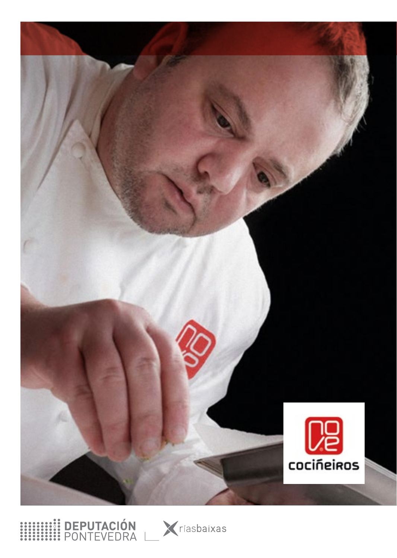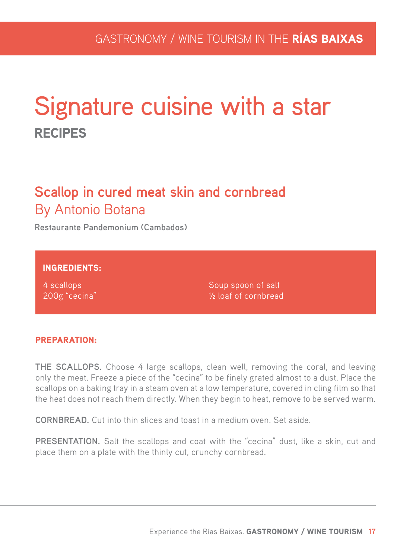# Signature cuisine with a star RECIPES

## **Scallop in cured meat skin and cornbread**  By Antonio Botana

**Restaurante Pandemonium (Cambados)**

INGREDIENTS:

4 scallops 200g "cecina" Soup spoon of salt ½ loaf of cornbread

#### PREPARATION:

**THE SCALLOPS.** Choose 4 large scallops, clean well, removing the coral, and leaving only the meat. Freeze a piece of the "cecina" to be finely grated almost to a dust. Place the scallops on a baking tray in a steam oven at a low temperature, covered in cling film so that the heat does not reach them directly. When they begin to heat, remove to be served warm.

**CORNBREAD.** Cut into thin slices and toast in a medium oven. Set aside.

**PRESENTATION.** Salt the scallops and coat with the "cecina" dust, like a skin, cut and place them on a plate with the thinly cut, crunchy cornbread.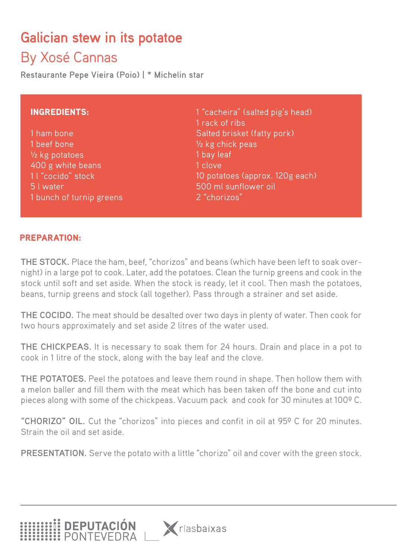# **Galician stew in its potatoe**

## By Xosé Cannas

**Restaurante Pepe Vieira (Poio) | \* Michelin star**

#### INGREDIENTS:

1 ham bone 1 beef bone ½ kg potatoes 400 g white beans 1 l "cocido" stock 5 l water 1 bunch of turnip greens 1 "cacheira" (salted pig's head) 1 rack of ribs Salted brisket (fatty pork) ½ kg chick peas 1 bay leaf 1 clove 10 potatoes (approx. 120g each) 500 ml sunflower oil 2 "chorizos"

#### PREPARATION:

**THE STOCK.** Place the ham, beef, "chorizos" and beans (which have been left to soak overnight) in a large pot to cook. Later, add the potatoes. Clean the turnip greens and cook in the stock until soft and set aside. When the stock is ready, let it cool. Then mash the potatoes, beans, turnip greens and stock (all together). Pass through a strainer and set aside.

**THE COCIDO.** The meat should be desalted over two days in plenty of water. Then cook for two hours approximately and set aside 2 litres of the water used.

**THE CHICKPEAS.** It is necessary to soak them for 24 hours. Drain and place in a pot to cook in 1 litre of the stock, along with the bay leaf and the clove.

**THE POTATOES.** Peel the potatoes and leave them round in shape. Then hollow them with a melon baller and fill them with the meat which has been taken off the bone and cut into pieces along with some of the chickpeas. Vacuum pack and cook for 30 minutes at 100º C.

**"CHORIZO" OIL.** Cut the "chorizos" into pieces and confit in oil at 95º C for 20 minutes. Strain the oil and set aside.

**PRESENTATION.** Serve the potato with a little "chorizo" oil and cover with the green stock.

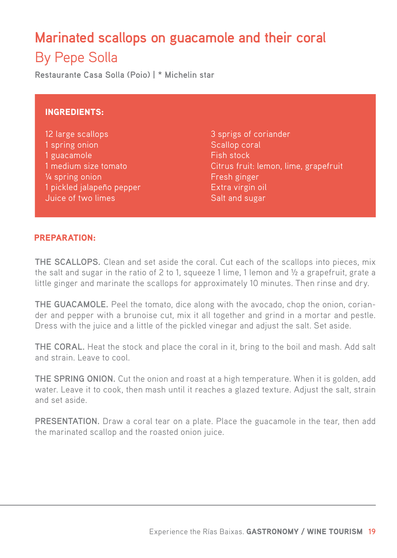# **Marinated scallops on guacamole and their coral**  By Pepe Solla

**Restaurante Casa Solla (Poio) | \* Michelin star**

#### INGREDIENTS:

12 large scallops 1 spring onion 1 guacamole 1 medium size tomato ¼ spring onion 1 pickled jalapeño pepper Juice of two limes

3 sprigs of coriander Scallop coral Fish stock Citrus fruit: lemon, lime, grapefruit Fresh ginger Extra virgin oil Salt and sugar

#### PREPARATION:

**THE SCALLOPS.** Clean and set aside the coral. Cut each of the scallops into pieces, mix the salt and sugar in the ratio of 2 to 1, squeeze 1 lime, 1 lemon and  $\frac{1}{2}$  a grapefruit, grate a little ginger and marinate the scallops for approximately 10 minutes. Then rinse and dry.

**THE GUACAMOLE.** Peel the tomato, dice along with the avocado, chop the onion, coriander and pepper with a brunoise cut, mix it all together and grind in a mortar and pestle. Dress with the juice and a little of the pickled vinegar and adjust the salt. Set aside.

**THE CORAL.** Heat the stock and place the coral in it, bring to the boil and mash. Add salt and strain. Leave to cool.

**THE SPRING ONION.** Cut the onion and roast at a high temperature. When it is golden, add water. Leave it to cook, then mash until it reaches a glazed texture. Adjust the salt, strain and set aside.

**PRESENTATION.** Draw a coral tear on a plate. Place the guacamole in the tear, then add the marinated scallop and the roasted onion juice.